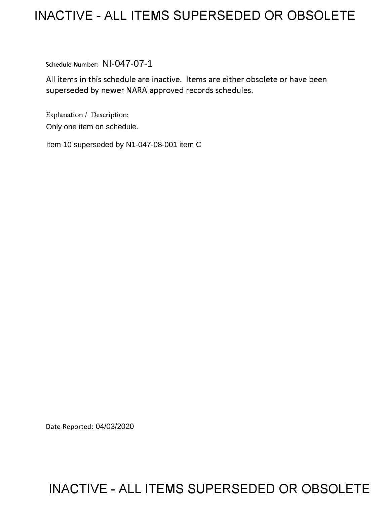# **INACTIVE -ALL ITEMS SUPERSEDED OR OBSOLETE**

Schedule Number: NI-047-07-1

All items in this schedule are inactive. Items are either obsolete or have been superseded by newer NARA approved records schedules.

Explanation/ Description: Only one item on schedule.

Item 10 superseded by N1-047-08-001 item C

Date Reported: 04/03/2020

# **INACTIVE -ALL ITEMS SUPERSEDED OR OBSOLETE**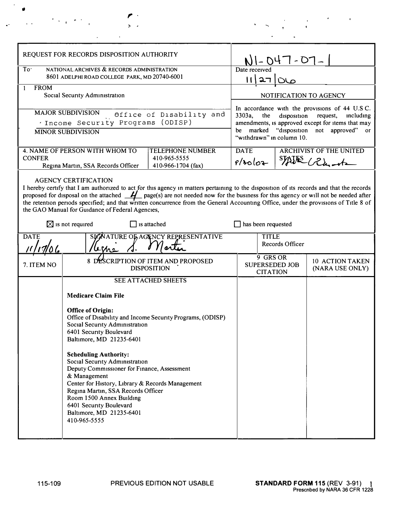|                                                                                                                                                                                                                                                                                                                                                                                                                                                   | ちゃくえき                                                                                                                                 |  |                                                                                                                                                                                                                                      |  |                                               |
|---------------------------------------------------------------------------------------------------------------------------------------------------------------------------------------------------------------------------------------------------------------------------------------------------------------------------------------------------------------------------------------------------------------------------------------------------|---------------------------------------------------------------------------------------------------------------------------------------|--|--------------------------------------------------------------------------------------------------------------------------------------------------------------------------------------------------------------------------------------|--|-----------------------------------------------|
| REQUEST FOR RECORDS DISPOSITION AUTHORITY                                                                                                                                                                                                                                                                                                                                                                                                         |                                                                                                                                       |  | NI-047-07-                                                                                                                                                                                                                           |  |                                               |
| To'<br>NATIONAL ARCHIVES & RECORDS ADMINISTRATION<br>8601 ADELPHI ROAD COLLEGE PARK, MD 20740-6001<br><b>FROM</b><br>Social Security Administration                                                                                                                                                                                                                                                                                               |                                                                                                                                       |  | Date received<br>רב וו                                                                                                                                                                                                               |  |                                               |
|                                                                                                                                                                                                                                                                                                                                                                                                                                                   |                                                                                                                                       |  | NOTIFICATION TO AGENCY                                                                                                                                                                                                               |  |                                               |
| <b>MAJOR SUBDIVISION</b><br>Office of Disability and<br>'Income Security Programs (ODISP)<br><b>MINOR SUBDIVISION</b>                                                                                                                                                                                                                                                                                                                             |                                                                                                                                       |  | In accordance with the provisions of 44 U.S.C.<br>3303a,<br>disposition<br>the<br>request,<br>including<br>amendments, is approved except for items that may<br>be marked "disposition not approved" or<br>"withdrawn" in column 10. |  |                                               |
| <b>CONFER</b>                                                                                                                                                                                                                                                                                                                                                                                                                                     | 4. NAME OF PERSON WITH WHOM TO<br><b>TELEPHONE NUMBER</b><br>410-965-5555<br>Regina Martin, SSA Records Officer<br>410-966-1704 (fax) |  | <b>DATE</b><br>f/20log                                                                                                                                                                                                               |  | <b>ARCHIVIST OF THE UNITED</b><br>STAJES Runt |
| proposed for disposal on the attached $\mathcal{H}$ page(s) are not needed now for the business for this agency or will not be needed after<br>the retention periods specified; and that written concurrence from the General Accounting Office, under the provisions of Title 8 of<br>the GAO Manual for Guidance of Federal Agencies,<br>$\boxtimes$ is not required<br>$\Box$ is attached<br>SICNATURE OF AGENCY REPRESENTATIVE<br><b>DATE</b> |                                                                                                                                       |  | $\Box$ has been requested<br><b>TITLE</b>                                                                                                                                                                                            |  |                                               |
|                                                                                                                                                                                                                                                                                                                                                                                                                                                   |                                                                                                                                       |  | Records Officer<br>9 GRS OR                                                                                                                                                                                                          |  |                                               |
| 7. ITEM NO                                                                                                                                                                                                                                                                                                                                                                                                                                        |                                                                                                                                       |  |                                                                                                                                                                                                                                      |  |                                               |
|                                                                                                                                                                                                                                                                                                                                                                                                                                                   | 8 DESCRIPTION OF ITEM AND PROPOSED<br><b>DISPOSITION</b>                                                                              |  | <b>SUPERSEDED JOB</b><br><b>CITATION</b>                                                                                                                                                                                             |  |                                               |
|                                                                                                                                                                                                                                                                                                                                                                                                                                                   | SEE ATTACHED SHEETS<br><b>Medicare Claim File</b>                                                                                     |  |                                                                                                                                                                                                                                      |  | 10 ACTION TAKEN<br>(NARA USE ONLY)            |

 $\sim$   $\sim$  $\bullet$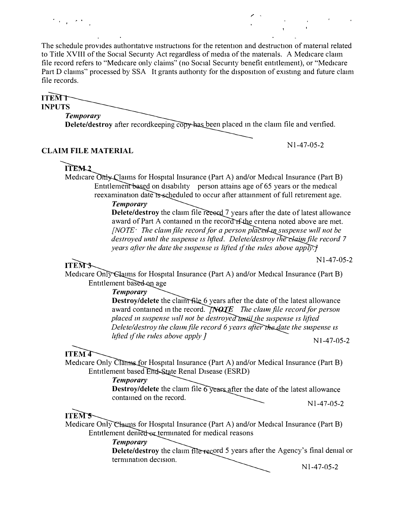The schedule provides authontative mstructions for the retention and destruction of matenal related to Title **XVIII** of the Social Secunty Act regardless of media of the matenals. A Medicare clann file record refers to "Medicare only claims'' (no Social Secunty benefit entitlement), or "Medicare Part D claims" processed by SSA It grants authority for the disposition of existing and future claim file records.

**ITEMT INPUTS** *Temporary* 

**Delete/destroy** after recordkeeping copy has been placed in the claim file and verified.

# **CLAIM FILE MATERIAL**

Nl-47-05-2

Nl-47-05-2

# $ITEM<sub>2</sub>$

 $\mathcal{O}(\mathcal{O}_{\mathcal{A}})$  , where  $\mathcal{O}_{\mathcal{A}}$ 

Medicare  $\overline{O}$ nty Claims for Hospital Insurance (Part A) and/or Medical Insurance (Part B) Entitlement based on disability person attains age of  $65$  years or the medical reexamination date is scheduled to occur after attainment of full retirement age.

## $T$ *emporary*

**Delete/destroy** the claim file record 7 years after the date of latest allowance award of Part A contained in the record r the criteria noted above are met. *[NOTE* $·$  *The claim file record for a person placed in suspense will not be destroyed until the suspense is lifted. Delete/destroy the claim file record 7 years after the date the suspense is lifted if the rules above apply.* 

# **ITEM3-**

Medicare Only Slaims for Hospital Insurance (Part A) and/or Medical Insurance (Part B) Entitlement based on age

*Temporary,* 

**Destroy/delete** the claim file 6 years after the date of the latest allowance award contained in the record. **TNOTE** The claim file record for person *placed in suspense will not be destroyed timil the suspense is lifted Delete/destroy the claim file record 6 years after the date the suspense is lifted if the rules above apply J* Nl-47-05-2

# **ITEM4**

Medicare Only Claims for Hospital Insurance (Part A) and/or Medical Insurance (Part B) Entitlement based End-State Renal Disease (ESRD)

## *Temporary,*

**Destroy/delete** the claim file 6 years after the date of the latest allowance contamed on the record. Nl-47-05-2

# **ITEM'S**

Medicare Only Channes for Hospital Insurance (Part A) and/or Medical Insurance (Part B) Entitlement demed or terminated for medical reasons

# *Temporary*

**Delete/destroy** the claim file record 5 years after the Agency's final demal or termination decision.

Nl-47-05-2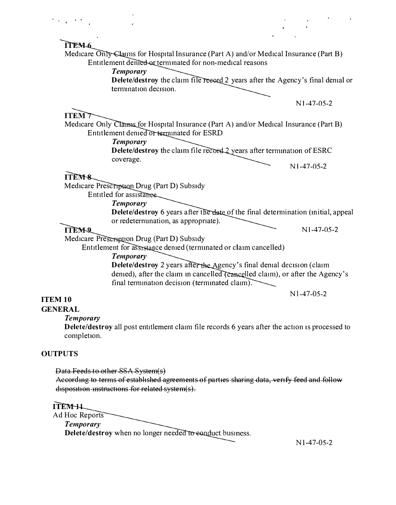

#### *Temporary*

**Delete/destroy** all post entitlement claim file records 6 years after the action 1s processed to completion.

### **OUT PUTS**

Data Feeds to other SSA System(s) According to terms of established agreements of parties sharing data, verify feed and follow disposition instructions for related system(s).

ITENHL Ad Hoc Reports *Temporary* **Delete/destroy** when no longer needed to sanduct business.

Nl-47-05-2